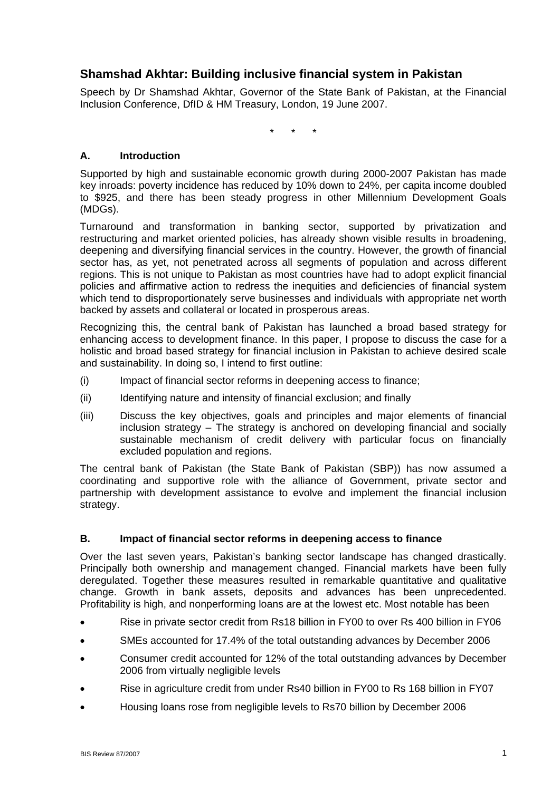# **Shamshad Akhtar: Building inclusive financial system in Pakistan**

Speech by Dr Shamshad Akhtar, Governor of the State Bank of Pakistan, at the Financial Inclusion Conference, DfID & HM Treasury, London, 19 June 2007.

\* \* \*

# **A. Introduction**

Supported by high and sustainable economic growth during 2000-2007 Pakistan has made key inroads: poverty incidence has reduced by 10% down to 24%, per capita income doubled to \$925, and there has been steady progress in other Millennium Development Goals (MDGs).

Turnaround and transformation in banking sector, supported by privatization and restructuring and market oriented policies, has already shown visible results in broadening, deepening and diversifying financial services in the country. However, the growth of financial sector has, as yet, not penetrated across all segments of population and across different regions. This is not unique to Pakistan as most countries have had to adopt explicit financial policies and affirmative action to redress the inequities and deficiencies of financial system which tend to disproportionately serve businesses and individuals with appropriate net worth backed by assets and collateral or located in prosperous areas.

Recognizing this, the central bank of Pakistan has launched a broad based strategy for enhancing access to development finance. In this paper, I propose to discuss the case for a holistic and broad based strategy for financial inclusion in Pakistan to achieve desired scale and sustainability. In doing so, I intend to first outline:

- (i) Impact of financial sector reforms in deepening access to finance;
- (ii) Identifying nature and intensity of financial exclusion; and finally
- (iii) Discuss the key objectives, goals and principles and major elements of financial inclusion strategy – The strategy is anchored on developing financial and socially sustainable mechanism of credit delivery with particular focus on financially excluded population and regions.

The central bank of Pakistan (the State Bank of Pakistan (SBP)) has now assumed a coordinating and supportive role with the alliance of Government, private sector and partnership with development assistance to evolve and implement the financial inclusion strategy.

#### **B. Impact of financial sector reforms in deepening access to finance**

Over the last seven years, Pakistan's banking sector landscape has changed drastically. Principally both ownership and management changed. Financial markets have been fully deregulated. Together these measures resulted in remarkable quantitative and qualitative change. Growth in bank assets, deposits and advances has been unprecedented. Profitability is high, and nonperforming loans are at the lowest etc. Most notable has been

- Rise in private sector credit from Rs18 billion in FY00 to over Rs 400 billion in FY06
- SMEs accounted for 17.4% of the total outstanding advances by December 2006
- Consumer credit accounted for 12% of the total outstanding advances by December 2006 from virtually negligible levels
- Rise in agriculture credit from under Rs40 billion in FY00 to Rs 168 billion in FY07
- Housing loans rose from negligible levels to Rs70 billion by December 2006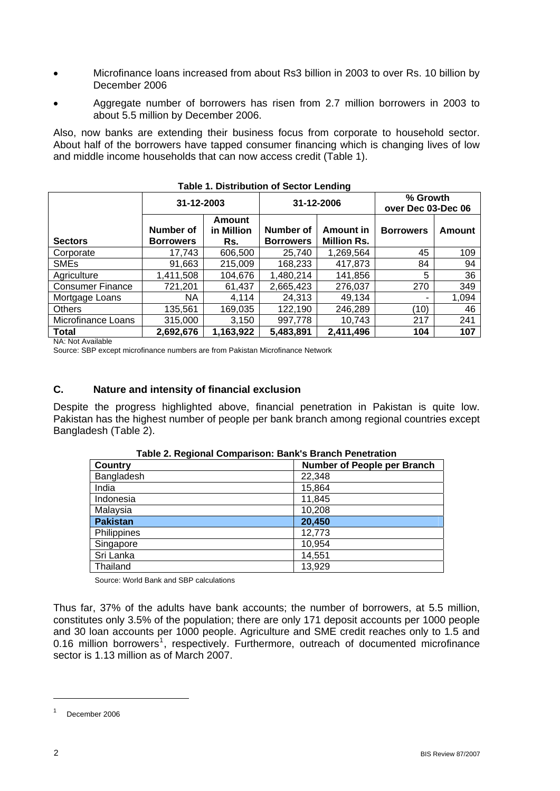- Microfinance loans increased from about Rs3 billion in 2003 to over Rs. 10 billion by December 2006
- Aggregate number of borrowers has risen from 2.7 million borrowers in 2003 to about 5.5 million by December 2006.

Also, now banks are extending their business focus from corporate to household sector. About half of the borrowers have tapped consumer financing which is changing lives of low and middle income households that can now access credit (Table 1).

|                         | 31-12-2003<br>31-12-2006             |                                    | % Growth<br>over Dec 03-Dec 06 |                                 |                  |        |  |  |
|-------------------------|--------------------------------------|------------------------------------|--------------------------------|---------------------------------|------------------|--------|--|--|
| <b>Sectors</b>          | <b>Number of</b><br><b>Borrowers</b> | <b>Amount</b><br>in Million<br>Rs. | Number of<br><b>Borrowers</b>  | Amount in<br><b>Million Rs.</b> | <b>Borrowers</b> | Amount |  |  |
| Corporate               | 17,743                               | 606,500                            | 25,740                         | 1,269,564                       | 45               | 109    |  |  |
| <b>SMEs</b>             | 91,663                               | 215,009                            | 168,233                        | 417,873                         | 84               | 94     |  |  |
| Agriculture             | 1,411,508                            | 104,676                            | 1,480,214                      | 141,856                         | 5                | 36     |  |  |
| <b>Consumer Finance</b> | 721,201                              | 61,437                             | 2,665,423                      | 276,037                         | 270              | 349    |  |  |
| Mortgage Loans          | <b>NA</b>                            | 4.114                              | 24,313                         | 49,134                          |                  | 1,094  |  |  |
| <b>Others</b>           | 135,561                              | 169,035                            | 122,190                        | 246,289                         | (10)             | 46     |  |  |
| Microfinance Loans      | 315,000                              | 3,150                              | 997,778                        | 10,743                          | 217              | 241    |  |  |
| <b>Total</b>            | 2,692,676                            | 1,163,922                          | 5,483,891                      | 2,411,496                       | 104              | 107    |  |  |
|                         |                                      |                                    |                                |                                 |                  |        |  |  |

| <b>Table 1. Distribution of Sector Lending</b> |
|------------------------------------------------|
|------------------------------------------------|

NA: Not Available

Source: SBP except microfinance numbers are from Pakistan Microfinance Network

# **C. Nature and intensity of financial exclusion**

Despite the progress highlighted above, financial penetration in Pakistan is quite low. Pakistan has the highest number of people per bank branch among regional countries except Bangladesh (Table 2).

| Country         | Number of People per Branch |
|-----------------|-----------------------------|
| Bangladesh      | 22,348                      |
| India           | 15,864                      |
| Indonesia       | 11,845                      |
| Malaysia        | 10,208                      |
| <b>Pakistan</b> | 20,450                      |
| Philippines     | 12,773                      |
| Singapore       | 10,954                      |
| Sri Lanka       | 14,551                      |
| Thailand        | 13,929                      |

**Table 2. Regional Comparison: Bank's Branch Penetration** 

Source: World Bank and SBP calculations

Thus far, 37% of the adults have bank accounts; the number of borrowers, at 5.5 million, constitutes only 3.5% of the population; there are only 171 deposit accounts per 1000 people and 30 loan accounts per 1000 people. Agriculture and SME credit reaches only to 1.5 and 0.[1](#page-1-0)6 million borrowers<sup>1</sup>, respectively. Furthermore, outreach of documented microfinance sector is 1.13 million as of March 2007.

 $\overline{a}$ 

<span id="page-1-0"></span><sup>1</sup> December 2006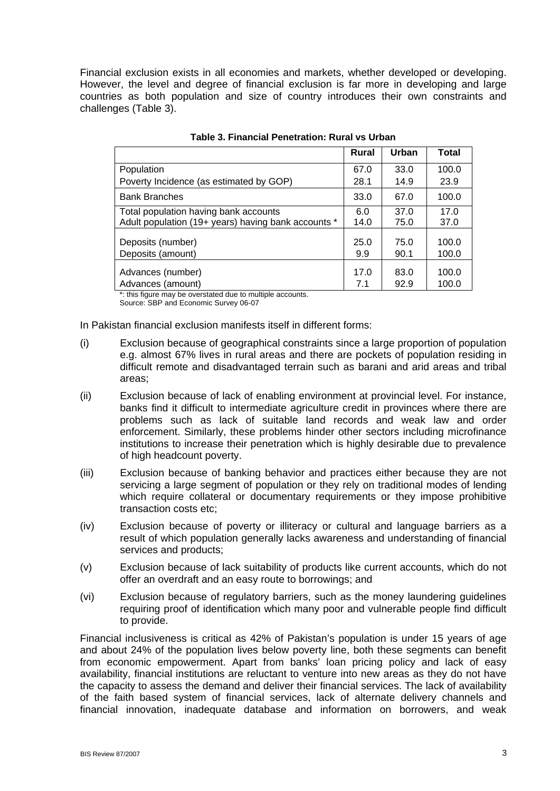Financial exclusion exists in all economies and markets, whether developed or developing. However, the level and degree of financial exclusion is far more in developing and large countries as both population and size of country introduces their own constraints and challenges (Table 3).

|                                                     | <b>Rural</b> | Urban        | Total          |
|-----------------------------------------------------|--------------|--------------|----------------|
| Population                                          | 67.0         | 33.0         | 100.0          |
| Poverty Incidence (as estimated by GOP)             | 28.1         | 14.9         | 23.9           |
| <b>Bank Branches</b>                                | 33.0         | 67.0         | 100.0          |
| Total population having bank accounts               | 6.0          | 37.0         | 17.0           |
| Adult population (19+ years) having bank accounts * | 14.0         | 75.0         | 37.0           |
| Deposits (number)<br>Deposits (amount)              | 25.0<br>9.9  | 75.0<br>90.1 | 100.0<br>100.0 |
| Advances (number)                                   | 17.0         | 83.0         | 100.0          |
| Advances (amount)                                   | 7.1          | 92.9         | 100.0          |

\*: this figure may be overstated due to multiple accounts.

Source: SBP and Economic Survey 06-07

In Pakistan financial exclusion manifests itself in different forms:

- (i) Exclusion because of geographical constraints since a large proportion of population e.g. almost 67% lives in rural areas and there are pockets of population residing in difficult remote and disadvantaged terrain such as barani and arid areas and tribal areas;
- (ii) Exclusion because of lack of enabling environment at provincial level. For instance, banks find it difficult to intermediate agriculture credit in provinces where there are problems such as lack of suitable land records and weak law and order enforcement. Similarly, these problems hinder other sectors including microfinance institutions to increase their penetration which is highly desirable due to prevalence of high headcount poverty.
- (iii) Exclusion because of banking behavior and practices either because they are not servicing a large segment of population or they rely on traditional modes of lending which require collateral or documentary requirements or they impose prohibitive transaction costs etc;
- (iv) Exclusion because of poverty or illiteracy or cultural and language barriers as a result of which population generally lacks awareness and understanding of financial services and products;
- (v) Exclusion because of lack suitability of products like current accounts, which do not offer an overdraft and an easy route to borrowings; and
- (vi) Exclusion because of regulatory barriers, such as the money laundering guidelines requiring proof of identification which many poor and vulnerable people find difficult to provide.

Financial inclusiveness is critical as 42% of Pakistan's population is under 15 years of age and about 24% of the population lives below poverty line, both these segments can benefit from economic empowerment. Apart from banks' loan pricing policy and lack of easy availability, financial institutions are reluctant to venture into new areas as they do not have the capacity to assess the demand and deliver their financial services. The lack of availability of the faith based system of financial services, lack of alternate delivery channels and financial innovation, inadequate database and information on borrowers, and weak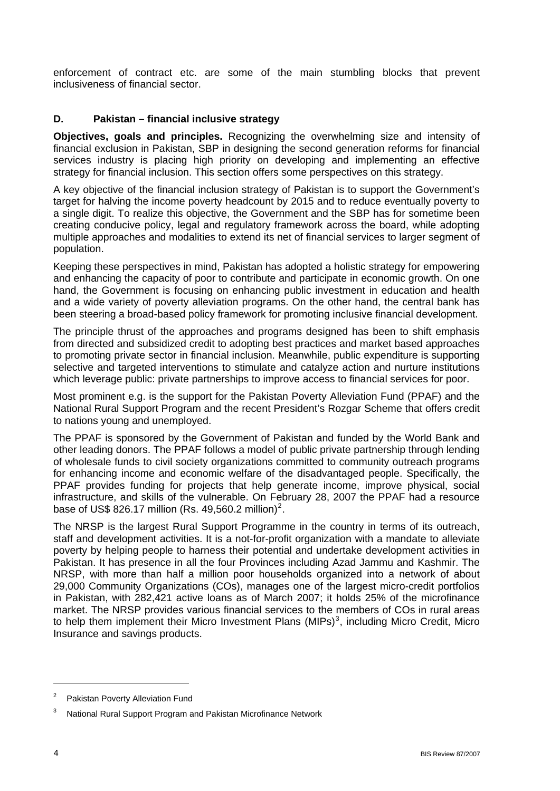enforcement of contract etc. are some of the main stumbling blocks that prevent inclusiveness of financial sector.

#### **D. Pakistan – financial inclusive strategy**

**Objectives, goals and principles.** Recognizing the overwhelming size and intensity of financial exclusion in Pakistan, SBP in designing the second generation reforms for financial services industry is placing high priority on developing and implementing an effective strategy for financial inclusion. This section offers some perspectives on this strategy.

A key objective of the financial inclusion strategy of Pakistan is to support the Government's target for halving the income poverty headcount by 2015 and to reduce eventually poverty to a single digit. To realize this objective, the Government and the SBP has for sometime been creating conducive policy, legal and regulatory framework across the board, while adopting multiple approaches and modalities to extend its net of financial services to larger segment of population.

Keeping these perspectives in mind, Pakistan has adopted a holistic strategy for empowering and enhancing the capacity of poor to contribute and participate in economic growth. On one hand, the Government is focusing on enhancing public investment in education and health and a wide variety of poverty alleviation programs. On the other hand, the central bank has been steering a broad-based policy framework for promoting inclusive financial development.

The principle thrust of the approaches and programs designed has been to shift emphasis from directed and subsidized credit to adopting best practices and market based approaches to promoting private sector in financial inclusion. Meanwhile, public expenditure is supporting selective and targeted interventions to stimulate and catalyze action and nurture institutions which leverage public: private partnerships to improve access to financial services for poor.

Most prominent e.g. is the support for the Pakistan Poverty Alleviation Fund (PPAF) and the National Rural Support Program and the recent President's Rozgar Scheme that offers credit to nations young and unemployed.

The PPAF is sponsored by the Government of Pakistan and funded by the World Bank and other leading donors. The PPAF follows a model of public private partnership through lending of wholesale funds to civil society organizations committed to community outreach programs for enhancing income and economic welfare of the disadvantaged people. Specifically, the PPAF provides funding for projects that help generate income, improve physical, social infrastructure, and skills of the vulnerable. On February 28, 2007 the PPAF had a resource base of US\$ 8[2](#page-3-0)6.17 million (Rs. 49,560.2 million)<sup>2</sup>.

The NRSP is the largest Rural Support Programme in the country in terms of its outreach, staff and development activities. It is a not-for-profit organization with a mandate to alleviate poverty by helping people to harness their potential and undertake development activities in Pakistan. It has presence in all the four Provinces including Azad Jammu and Kashmir. The NRSP, with more than half a million poor households organized into a network of about 29,000 Community Organizations (COs), manages one of the largest micro-credit portfolios in Pakistan, with 282,421 active loans as of March 2007; it holds 25% of the microfinance market. The NRSP provides various financial services to the members of COs in rural areas to help them implement their Micro Investment Plans (MIPs)<sup>[3](#page-3-1)</sup>, including Micro Credit, Micro Insurance and savings products.

<span id="page-3-0"></span><sup>2</sup> Pakistan Poverty Alleviation Fund

<span id="page-3-1"></span><sup>3</sup> National Rural Support Program and Pakistan Microfinance Network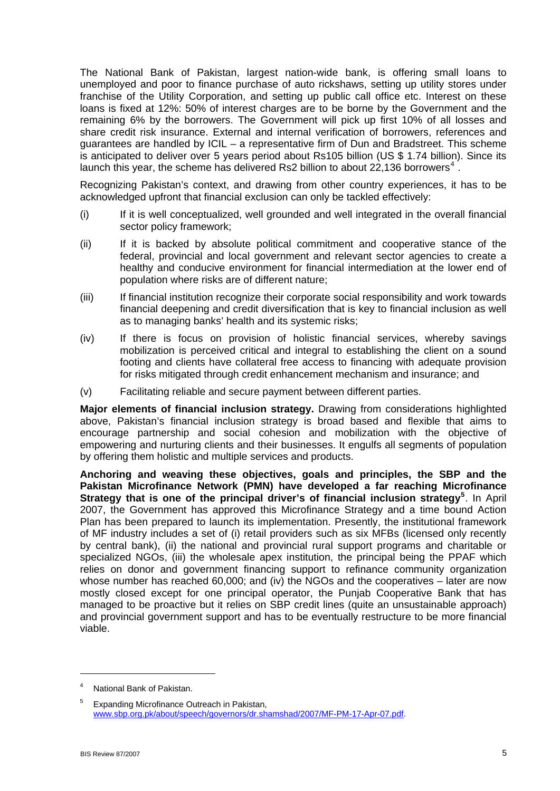The National Bank of Pakistan, largest nation-wide bank, is offering small loans to unemployed and poor to finance purchase of auto rickshaws, setting up utility stores under franchise of the Utility Corporation, and setting up public call office etc. Interest on these loans is fixed at 12%: 50% of interest charges are to be borne by the Government and the remaining 6% by the borrowers. The Government will pick up first 10% of all losses and share credit risk insurance. External and internal verification of borrowers, references and guarantees are handled by ICIL – a representative firm of Dun and Bradstreet. This scheme is anticipated to deliver over 5 years period about Rs105 billion (US \$ 1.74 billion). Since its launch this year, the scheme has delivered Rs2 billion to about 22,136 borrowers<sup>[4](#page-4-0)</sup>.

Recognizing Pakistan's context, and drawing from other country experiences, it has to be acknowledged upfront that financial exclusion can only be tackled effectively:

- (i) If it is well conceptualized, well grounded and well integrated in the overall financial sector policy framework;
- (ii) If it is backed by absolute political commitment and cooperative stance of the federal, provincial and local government and relevant sector agencies to create a healthy and conducive environment for financial intermediation at the lower end of population where risks are of different nature;
- (iii) If financial institution recognize their corporate social responsibility and work towards financial deepening and credit diversification that is key to financial inclusion as well as to managing banks' health and its systemic risks;
- (iv) If there is focus on provision of holistic financial services, whereby savings mobilization is perceived critical and integral to establishing the client on a sound footing and clients have collateral free access to financing with adequate provision for risks mitigated through credit enhancement mechanism and insurance; and
- (v) Facilitating reliable and secure payment between different parties.

**Major elements of financial inclusion strategy.** Drawing from considerations highlighted above, Pakistan's financial inclusion strategy is broad based and flexible that aims to encourage partnership and social cohesion and mobilization with the objective of empowering and nurturing clients and their businesses. It engulfs all segments of population by offering them holistic and multiple services and products.

**Anchoring and weaving these objectives, goals and principles, the SBP and the Pakistan Microfinance Network (PMN) have developed a far reaching Microfinance**  Strategy that is one of the principal driver's of financial inclusion strategy<sup>[5](#page-4-1)</sup>. In April 2007, the Government has approved this Microfinance Strategy and a time bound Action Plan has been prepared to launch its implementation. Presently, the institutional framework of MF industry includes a set of (i) retail providers such as six MFBs (licensed only recently by central bank), (ii) the national and provincial rural support programs and charitable or specialized NGOs, (iii) the wholesale apex institution, the principal being the PPAF which relies on donor and government financing support to refinance community organization whose number has reached 60,000; and (iv) the NGOs and the cooperatives – later are now mostly closed except for one principal operator, the Punjab Cooperative Bank that has managed to be proactive but it relies on SBP credit lines (quite an unsustainable approach) and provincial government support and has to be eventually restructure to be more financial viable.

 $\overline{a}$ 

<span id="page-4-0"></span><sup>4</sup> National Bank of Pakistan.

<span id="page-4-1"></span><sup>5</sup> Expanding Microfinance Outreach in Pakistan, [www.sbp.org.pk/about/speech/governors/dr.shamshad/2007/MF-PM-17-Apr-07.pdf](http://www.sbp.org.pk/about/speech/governors/dr.shamshad/2007/MF-PM-17-Apr-07.pdf).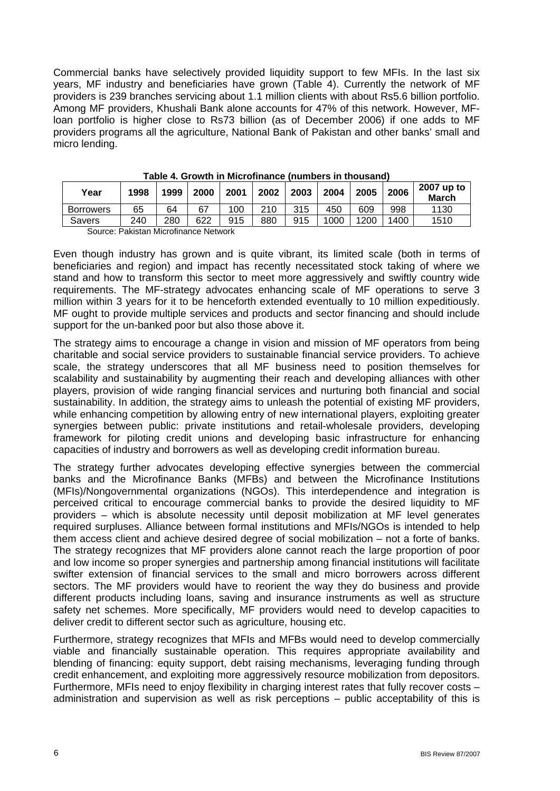Commercial banks have selectively provided liquidity support to few MFIs. In the last six years, MF industry and beneficiaries have grown (Table 4). Currently the network of MF providers is 239 branches servicing about 1.1 million clients with about Rs5.6 billion portfolio. Among MF providers, Khushali Bank alone accounts for 47% of this network. However, MFloan portfolio is higher close to Rs73 billion (as of December 2006) if one adds to MF providers programs all the agriculture, National Bank of Pakistan and other banks' small and micro lending.

| Year             | 1998 | 1999 | 2000 | 2001 | 2002 | 2003 | 2004 | 2005 | 2006 | 2007 up to<br><b>March</b> |
|------------------|------|------|------|------|------|------|------|------|------|----------------------------|
| <b>Borrowers</b> | 65   | 64   | 67   | 100  | 210  | 315  | 450  | 609  | 998  | 1130                       |
| Savers           | 240  | 280  | 622  | 915  | 880  | 915  | 1000 | 1200 | 1400 | 1510                       |
| $\sim$           | -    | .    | .    |      |      |      |      |      |      |                            |

**Table 4. Growth in Microfinance (numbers in thousand)** 

Source: Pakistan Microfinance Network

Even though industry has grown and is quite vibrant, its limited scale (both in terms of beneficiaries and region) and impact has recently necessitated stock taking of where we stand and how to transform this sector to meet more aggressively and swiftly country wide requirements. The MF-strategy advocates enhancing scale of MF operations to serve 3 million within 3 years for it to be henceforth extended eventually to 10 million expeditiously. MF ought to provide multiple services and products and sector financing and should include support for the un-banked poor but also those above it.

The strategy aims to encourage a change in vision and mission of MF operators from being charitable and social service providers to sustainable financial service providers. To achieve scale, the strategy underscores that all MF business need to position themselves for scalability and sustainability by augmenting their reach and developing alliances with other players, provision of wide ranging financial services and nurturing both financial and social sustainability. In addition, the strategy aims to unleash the potential of existing MF providers, while enhancing competition by allowing entry of new international players, exploiting greater synergies between public: private institutions and retail-wholesale providers, developing framework for piloting credit unions and developing basic infrastructure for enhancing capacities of industry and borrowers as well as developing credit information bureau.

The strategy further advocates developing effective synergies between the commercial banks and the Microfinance Banks (MFBs) and between the Microfinance Institutions (MFIs)/Nongovernmental organizations (NGOs). This interdependence and integration is perceived critical to encourage commercial banks to provide the desired liquidity to MF providers – which is absolute necessity until deposit mobilization at MF level generates required surpluses. Alliance between formal institutions and MFIs/NGOs is intended to help them access client and achieve desired degree of social mobilization – not a forte of banks. The strategy recognizes that MF providers alone cannot reach the large proportion of poor and low income so proper synergies and partnership among financial institutions will facilitate swifter extension of financial services to the small and micro borrowers across different sectors. The MF providers would have to reorient the way they do business and provide different products including loans, saving and insurance instruments as well as structure safety net schemes. More specifically, MF providers would need to develop capacities to deliver credit to different sector such as agriculture, housing etc.

Furthermore, strategy recognizes that MFIs and MFBs would need to develop commercially viable and financially sustainable operation. This requires appropriate availability and blending of financing: equity support, debt raising mechanisms, leveraging funding through credit enhancement, and exploiting more aggressively resource mobilization from depositors. Furthermore, MFIs need to enjoy flexibility in charging interest rates that fully recover costs – administration and supervision as well as risk perceptions – public acceptability of this is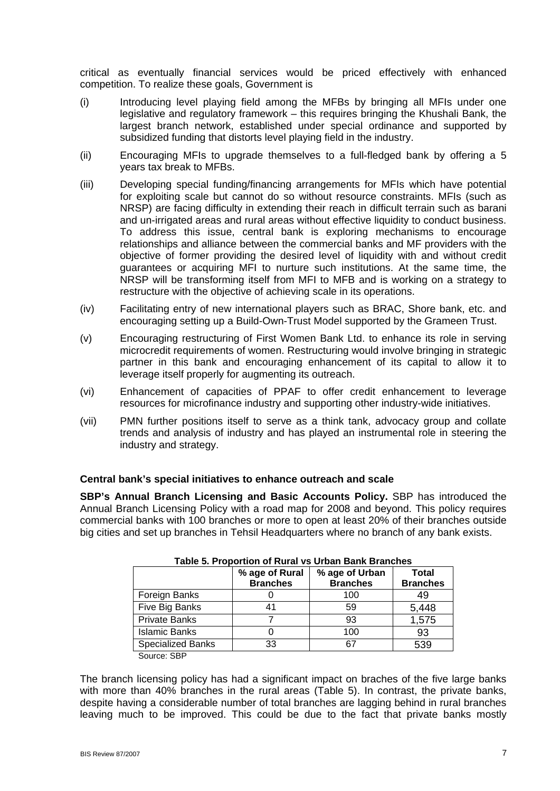critical as eventually financial services would be priced effectively with enhanced competition. To realize these goals, Government is

- (i) Introducing level playing field among the MFBs by bringing all MFIs under one legislative and regulatory framework – this requires bringing the Khushali Bank, the largest branch network, established under special ordinance and supported by subsidized funding that distorts level playing field in the industry.
- (ii) Encouraging MFIs to upgrade themselves to a full-fledged bank by offering a 5 years tax break to MFBs.
- (iii) Developing special funding/financing arrangements for MFIs which have potential for exploiting scale but cannot do so without resource constraints. MFIs (such as NRSP) are facing difficulty in extending their reach in difficult terrain such as barani and un-irrigated areas and rural areas without effective liquidity to conduct business. To address this issue, central bank is exploring mechanisms to encourage relationships and alliance between the commercial banks and MF providers with the objective of former providing the desired level of liquidity with and without credit guarantees or acquiring MFI to nurture such institutions. At the same time, the NRSP will be transforming itself from MFI to MFB and is working on a strategy to restructure with the objective of achieving scale in its operations.
- (iv) Facilitating entry of new international players such as BRAC, Shore bank, etc. and encouraging setting up a Build-Own-Trust Model supported by the Grameen Trust.
- (v) Encouraging restructuring of First Women Bank Ltd. to enhance its role in serving microcredit requirements of women. Restructuring would involve bringing in strategic partner in this bank and encouraging enhancement of its capital to allow it to leverage itself properly for augmenting its outreach.
- (vi) Enhancement of capacities of PPAF to offer credit enhancement to leverage resources for microfinance industry and supporting other industry-wide initiatives.
- (vii) PMN further positions itself to serve as a think tank, advocacy group and collate trends and analysis of industry and has played an instrumental role in steering the industry and strategy.

#### **Central bank's special initiatives to enhance outreach and scale**

**SBP's Annual Branch Licensing and Basic Accounts Policy.** SBP has introduced the Annual Branch Licensing Policy with a road map for 2008 and beyond. This policy requires commercial banks with 100 branches or more to open at least 20% of their branches outside big cities and set up branches in Tehsil Headquarters where no branch of any bank exists.

| Table J. Froportion of Kural vs Orban Bank Branches |                 |                 |                 |  |  |  |
|-----------------------------------------------------|-----------------|-----------------|-----------------|--|--|--|
|                                                     | % age of Rural  | % age of Urban  | Total           |  |  |  |
|                                                     | <b>Branches</b> | <b>Branches</b> | <b>Branches</b> |  |  |  |
| Foreign Banks                                       |                 | 100             | 49              |  |  |  |
| Five Big Banks                                      | 41              | 59              | 5,448           |  |  |  |
| <b>Private Banks</b>                                |                 | 93              | 1,575           |  |  |  |
| <b>Islamic Banks</b>                                |                 | 100             | 93              |  |  |  |
| <b>Specialized Banks</b>                            | 33              | 67              | 539             |  |  |  |
| Source: SBP                                         |                 |                 |                 |  |  |  |

| Table 5. Proportion of Rural vs Urban Bank Branches |  |  |  |
|-----------------------------------------------------|--|--|--|
|                                                     |  |  |  |

The branch licensing policy has had a significant impact on braches of the five large banks with more than 40% branches in the rural areas (Table 5). In contrast, the private banks, despite having a considerable number of total branches are lagging behind in rural branches leaving much to be improved. This could be due to the fact that private banks mostly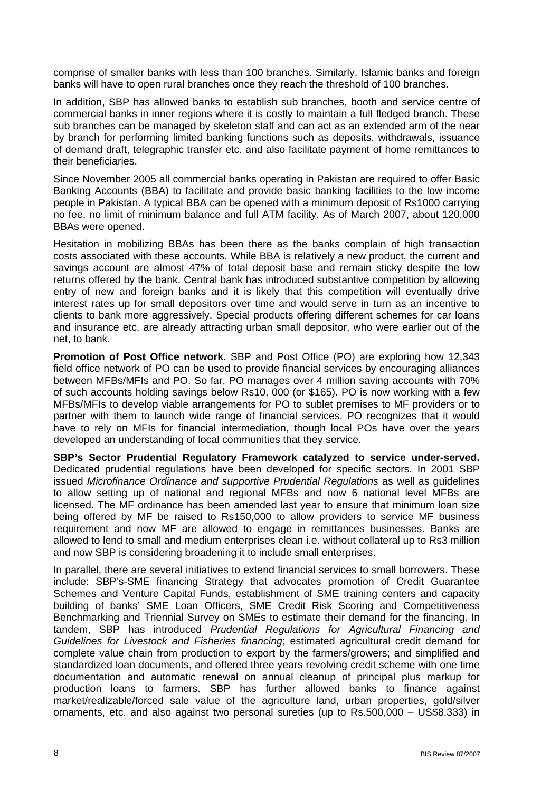comprise of smaller banks with less than 100 branches. Similarly, Islamic banks and foreign banks will have to open rural branches once they reach the threshold of 100 branches.

In addition, SBP has allowed banks to establish sub branches, booth and service centre of commercial banks in inner regions where it is costly to maintain a full fledged branch. These sub branches can be managed by skeleton staff and can act as an extended arm of the near by branch for performing limited banking functions such as deposits, withdrawals, issuance of demand draft, telegraphic transfer etc. and also facilitate payment of home remittances to their beneficiaries.

Since November 2005 all commercial banks operating in Pakistan are required to offer Basic Banking Accounts (BBA) to facilitate and provide basic banking facilities to the low income people in Pakistan. A typical BBA can be opened with a minimum deposit of Rs1000 carrying no fee, no limit of minimum balance and full ATM facility. As of March 2007, about 120,000 BBAs were opened.

Hesitation in mobilizing BBAs has been there as the banks complain of high transaction costs associated with these accounts. While BBA is relatively a new product, the current and savings account are almost 47% of total deposit base and remain sticky despite the low returns offered by the bank. Central bank has introduced substantive competition by allowing entry of new and foreign banks and it is likely that this competition will eventually drive interest rates up for small depositors over time and would serve in turn as an incentive to clients to bank more aggressively. Special products offering different schemes for car loans and insurance etc. are already attracting urban small depositor, who were earlier out of the net, to bank.

**Promotion of Post Office network.** SBP and Post Office (PO) are exploring how 12,343 field office network of PO can be used to provide financial services by encouraging alliances between MFBs/MFIs and PO. So far, PO manages over 4 million saving accounts with 70% of such accounts holding savings below Rs10, 000 (or \$165). PO is now working with a few MFBs/MFIs to develop viable arrangements for PO to sublet premises to MF providers or to partner with them to launch wide range of financial services. PO recognizes that it would have to rely on MFIs for financial intermediation, though local POs have over the years developed an understanding of local communities that they service.

**SBP's Sector Prudential Regulatory Framework catalyzed to service under-served.** Dedicated prudential regulations have been developed for specific sectors. In 2001 SBP issued *Microfinance Ordinance and supportive Prudential Regulations* as well as guidelines to allow setting up of national and regional MFBs and now 6 national level MFBs are licensed. The MF ordinance has been amended last year to ensure that minimum loan size being offered by MF be raised to Rs150,000 to allow providers to service MF business requirement and now MF are allowed to engage in remittances businesses. Banks are allowed to lend to small and medium enterprises clean i.e. without collateral up to Rs3 million and now SBP is considering broadening it to include small enterprises.

In parallel, there are several initiatives to extend financial services to small borrowers. These include: SBP's-SME financing Strategy that advocates promotion of Credit Guarantee Schemes and Venture Capital Funds, establishment of SME training centers and capacity building of banks' SME Loan Officers, SME Credit Risk Scoring and Competitiveness Benchmarking and Triennial Survey on SMEs to estimate their demand for the financing. In tandem, SBP has introduced *Prudential Regulations for Agricultural Financing and Guidelines for Livestock and Fisheries financing*; estimated agricultural credit demand for complete value chain from production to export by the farmers/growers; and simplified and standardized loan documents, and offered three years revolving credit scheme with one time documentation and automatic renewal on annual cleanup of principal plus markup for production loans to farmers. SBP has further allowed banks to finance against market/realizable/forced sale value of the agriculture land, urban properties, gold/silver ornaments, etc. and also against two personal sureties (up to Rs.500,000 – US\$8,333) in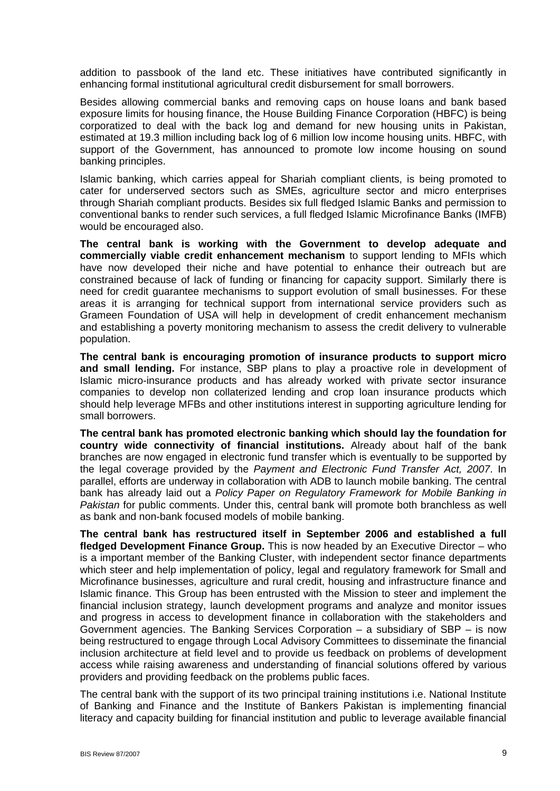addition to passbook of the land etc. These initiatives have contributed significantly in enhancing formal institutional agricultural credit disbursement for small borrowers.

Besides allowing commercial banks and removing caps on house loans and bank based exposure limits for housing finance, the House Building Finance Corporation (HBFC) is being corporatized to deal with the back log and demand for new housing units in Pakistan, estimated at 19.3 million including back log of 6 million low income housing units. HBFC, with support of the Government, has announced to promote low income housing on sound banking principles.

Islamic banking, which carries appeal for Shariah compliant clients, is being promoted to cater for underserved sectors such as SMEs, agriculture sector and micro enterprises through Shariah compliant products. Besides six full fledged Islamic Banks and permission to conventional banks to render such services, a full fledged Islamic Microfinance Banks (IMFB) would be encouraged also.

**The central bank is working with the Government to develop adequate and commercially viable credit enhancement mechanism** to support lending to MFIs which have now developed their niche and have potential to enhance their outreach but are constrained because of lack of funding or financing for capacity support. Similarly there is need for credit guarantee mechanisms to support evolution of small businesses. For these areas it is arranging for technical support from international service providers such as Grameen Foundation of USA will help in development of credit enhancement mechanism and establishing a poverty monitoring mechanism to assess the credit delivery to vulnerable population.

**The central bank is encouraging promotion of insurance products to support micro and small lending.** For instance, SBP plans to play a proactive role in development of Islamic micro-insurance products and has already worked with private sector insurance companies to develop non collaterized lending and crop loan insurance products which should help leverage MFBs and other institutions interest in supporting agriculture lending for small borrowers.

**The central bank has promoted electronic banking which should lay the foundation for country wide connectivity of financial institutions.** Already about half of the bank branches are now engaged in electronic fund transfer which is eventually to be supported by the legal coverage provided by the *Payment and Electronic Fund Transfer Act, 2007*. In parallel, efforts are underway in collaboration with ADB to launch mobile banking. The central bank has already laid out a *Policy Paper on Regulatory Framework for Mobile Banking in Pakistan* for public comments. Under this, central bank will promote both branchless as well as bank and non-bank focused models of mobile banking.

**The central bank has restructured itself in September 2006 and established a full fledged Development Finance Group.** This is now headed by an Executive Director – who is a important member of the Banking Cluster, with independent sector finance departments which steer and help implementation of policy, legal and regulatory framework for Small and Microfinance businesses, agriculture and rural credit, housing and infrastructure finance and Islamic finance. This Group has been entrusted with the Mission to steer and implement the financial inclusion strategy, launch development programs and analyze and monitor issues and progress in access to development finance in collaboration with the stakeholders and Government agencies. The Banking Services Corporation  $-$  a subsidiary of SBP  $-$  is now being restructured to engage through Local Advisory Committees to disseminate the financial inclusion architecture at field level and to provide us feedback on problems of development access while raising awareness and understanding of financial solutions offered by various providers and providing feedback on the problems public faces.

The central bank with the support of its two principal training institutions i.e. National Institute of Banking and Finance and the Institute of Bankers Pakistan is implementing financial literacy and capacity building for financial institution and public to leverage available financial